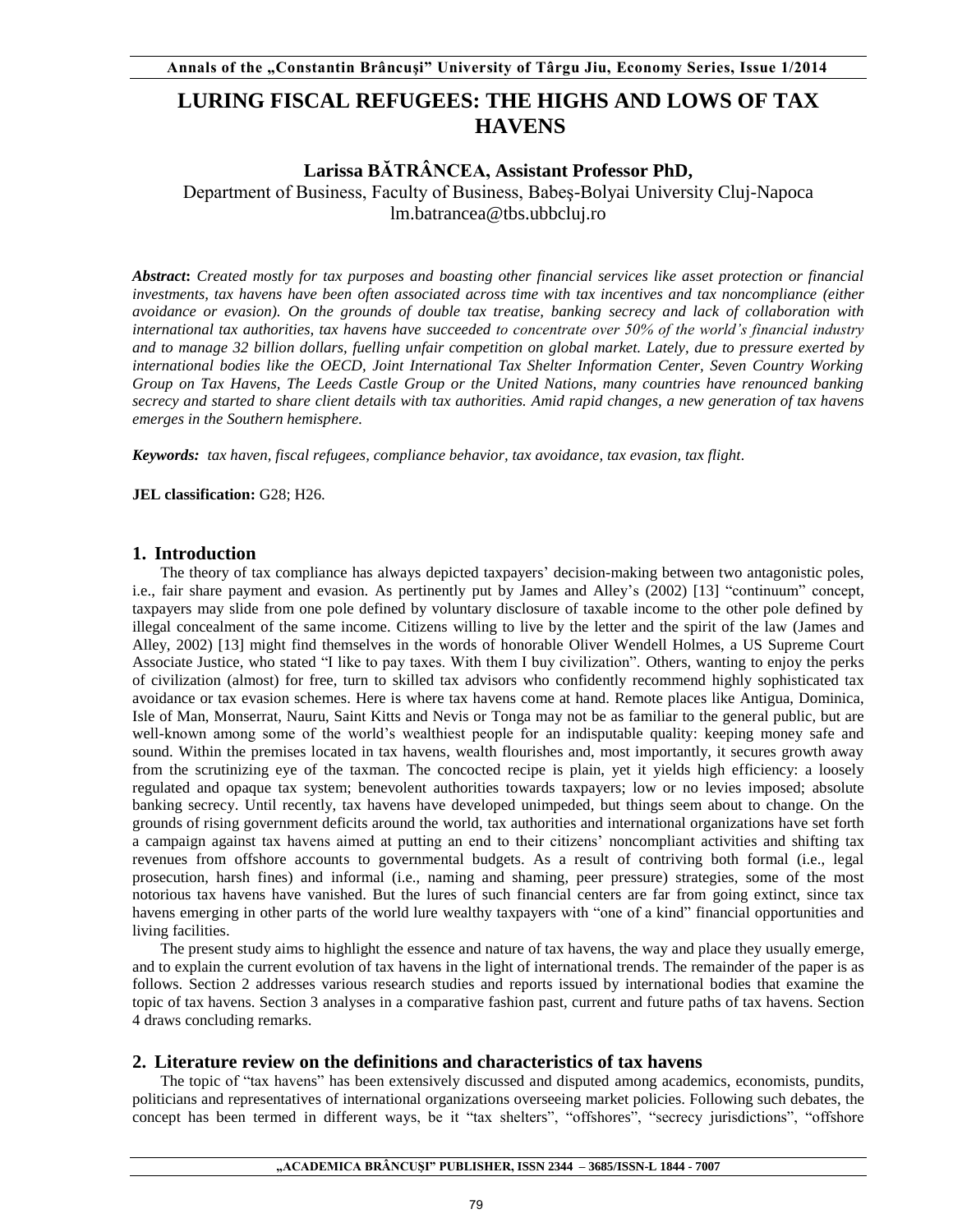# **LURING FISCAL REFUGEES: THE HIGHS AND LOWS OF TAX HAVENS**

# **Larissa BĂTRÂNCEA, Assistant Professor PhD,**

Department of Business, Faculty of Business, Babeş-Bolyai University Cluj-Napoca lm.batrancea@tbs.ubbcluj.ro

*Abstract***:** *Created mostly for tax purposes and boasting other financial services like asset protection or financial investments, tax havens have been often associated across time with tax incentives and tax noncompliance (either avoidance or evasion). On the grounds of double tax treatise, banking secrecy and lack of collaboration with international tax authorities, tax havens have succeeded to concentrate over 50% of the world's financial industry and to manage 32 billion dollars, fuelling unfair competition on global market. Lately, due to pressure exerted by international bodies like the OECD, Joint International Tax Shelter Information Center, Seven Country Working Group on Tax Havens, The Leeds Castle Group or the United Nations, many countries have renounced banking secrecy and started to share client details with tax authorities. Amid rapid changes, a new generation of tax havens emerges in the Southern hemisphere.* 

*Keywords: tax haven, fiscal refugees, compliance behavior, tax avoidance, tax evasion, tax flight.* 

**JEL classification:** G28; H26.

## **1. Introduction**

The theory of tax compliance has always depicted taxpayers' decision-making between two antagonistic poles, i.e., fair share payment and evasion. As pertinently put by James and Alley's (2002) [13] "continuum" concept, taxpayers may slide from one pole defined by voluntary disclosure of taxable income to the other pole defined by illegal concealment of the same income. Citizens willing to live by the letter and the spirit of the law (James and Alley, 2002) [13] might find themselves in the words of honorable Oliver Wendell Holmes, a US Supreme Court Associate Justice, who stated "I like to pay taxes. With them I buy civilization". Others, wanting to enjoy the perks of civilization (almost) for free, turn to skilled tax advisors who confidently recommend highly sophisticated tax avoidance or tax evasion schemes. Here is where tax havens come at hand. Remote places like Antigua, Dominica, Isle of Man, Monserrat, Nauru, Saint Kitts and Nevis or Tonga may not be as familiar to the general public, but are well-known among some of the world's wealthiest people for an indisputable quality: keeping money safe and sound. Within the premises located in tax havens, wealth flourishes and, most importantly, it secures growth away from the scrutinizing eye of the taxman. The concocted recipe is plain, yet it yields high efficiency: a loosely regulated and opaque tax system; benevolent authorities towards taxpayers; low or no levies imposed; absolute banking secrecy. Until recently, tax havens have developed unimpeded, but things seem about to change. On the grounds of rising government deficits around the world, tax authorities and international organizations have set forth a campaign against tax havens aimed at putting an end to their citizens' noncompliant activities and shifting tax revenues from offshore accounts to governmental budgets. As a result of contriving both formal (i.e., legal prosecution, harsh fines) and informal (i.e., naming and shaming, peer pressure) strategies, some of the most notorious tax havens have vanished. But the lures of such financial centers are far from going extinct, since tax havens emerging in other parts of the world lure wealthy taxpayers with "one of a kind" financial opportunities and living facilities.

The present study aims to highlight the essence and nature of tax havens, the way and place they usually emerge, and to explain the current evolution of tax havens in the light of international trends. The remainder of the paper is as follows. Section 2 addresses various research studies and reports issued by international bodies that examine the topic of tax havens. Section 3 analyses in a comparative fashion past, current and future paths of tax havens. Section 4 draws concluding remarks.

# **2. Literature review on the definitions and characteristics of tax havens**

The topic of "tax havens" has been extensively discussed and disputed among academics, economists, pundits, politicians and representatives of international organizations overseeing market policies. Following such debates, the concept has been termed in different ways, be it "tax shelters", "offshores", "secrecy jurisdictions", "offshore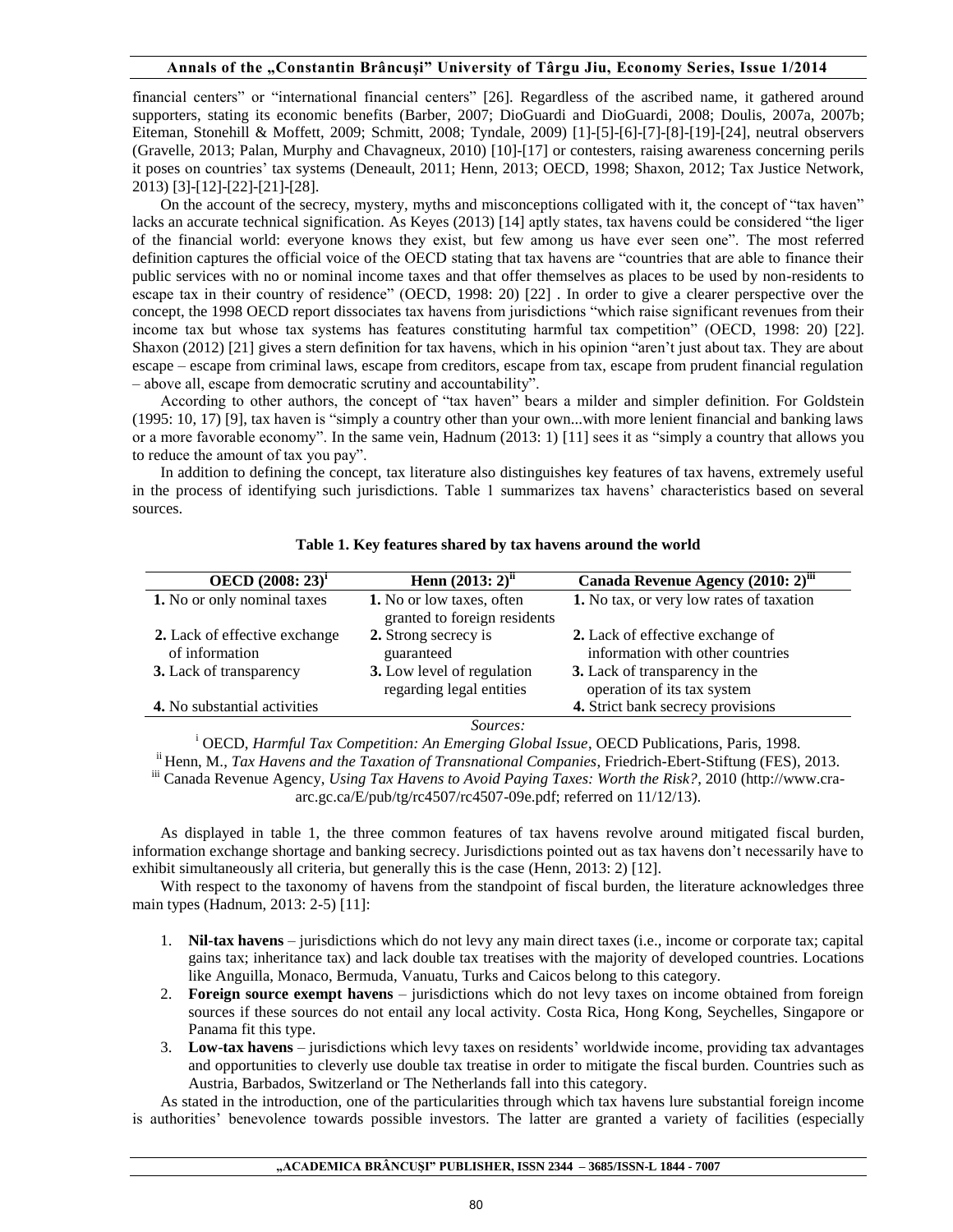financial centers" or "international financial centers" [26]. Regardless of the ascribed name, it gathered around supporters, stating its economic benefits (Barber, 2007; DioGuardi and DioGuardi, 2008; Doulis, 2007a, 2007b; Eiteman, Stonehill & Moffett, 2009; Schmitt, 2008; Tyndale, 2009) [1]-[5]-[6]-[7]-[8]-[19]-[24], neutral observers (Gravelle, 2013; Palan, Murphy and Chavagneux, 2010) [10]-[17] or contesters, raising awareness concerning perils it poses on countries' tax systems (Deneault, 2011; Henn, 2013; OECD, 1998; Shaxon, 2012; Tax Justice Network, 2013) [3]-[12]-[22]-[21]-[28].

On the account of the secrecy, mystery, myths and misconceptions colligated with it, the concept of "tax haven" lacks an accurate technical signification. As Keyes (2013) [14] aptly states, tax havens could be considered "the liger of the financial world: everyone knows they exist, but few among us have ever seen one". The most referred definition captures the official voice of the OECD stating that tax havens are "countries that are able to finance their public services with no or nominal income taxes and that offer themselves as places to be used by non-residents to escape tax in their country of residence" (OECD, 1998: 20) [22] . In order to give a clearer perspective over the concept, the 1998 OECD report dissociates tax havens from jurisdictions "which raise significant revenues from their income tax but whose tax systems has features constituting harmful tax competition" (OECD, 1998: 20) [22]. Shaxon (2012) [21] gives a stern definition for tax havens, which in his opinion "aren't just about tax. They are about escape – escape from criminal laws, escape from creditors, escape from tax, escape from prudent financial regulation – above all, escape from democratic scrutiny and accountability".

According to other authors, the concept of "tax haven" bears a milder and simpler definition. For Goldstein (1995: 10, 17) [9], tax haven is "simply a country other than your own...with more lenient financial and banking laws or a more favorable economy". In the same vein, Hadnum (2013: 1) [11] sees it as "simply a country that allows you to reduce the amount of tax you pay".

In addition to defining the concept, tax literature also distinguishes key features of tax havens, extremely useful in the process of identifying such jurisdictions. Table 1 summarizes tax havens' characteristics based on several sources.

| OECD $(2008:23)^{1}$                            | Henn $(2013:2)^{ii}$                                      | Canada Revenue Agency (2010: 2) <sup>iii</sup>                       |
|-------------------------------------------------|-----------------------------------------------------------|----------------------------------------------------------------------|
| 1. No or only nominal taxes                     | 1. No or low taxes, often<br>granted to foreign residents | 1. No tax, or very low rates of taxation                             |
| 2. Lack of effective exchange<br>of information | 2. Strong secrecy is<br>guaranteed                        | 2. Lack of effective exchange of<br>information with other countries |
| <b>3.</b> Lack of transparency                  | 3. Low level of regulation<br>regarding legal entities    | 3. Lack of transparency in the<br>operation of its tax system        |
| 4. No substantial activities                    |                                                           | 4. Strict bank secrecy provisions                                    |
|                                                 | Sources:                                                  |                                                                      |

#### **Table 1. Key features shared by tax havens around the world**

<sup>i</sup> OECD, *Harmful Tax Competition: An Emerging Global Issue*, OECD Publications, Paris, 1998. ii Henn, M., *Tax Havens and the Taxation of Transnational Companies*, Friedrich-Ebert-Stiftung (FES), 2013. iii Canada Revenue Agency, *Using Tax Havens to Avoid Paying Taxes: Worth the Risk?*, 2010 (http://www.craarc.gc.ca/E/pub/tg/rc4507/rc4507-09e.pdf; referred on 11/12/13).

As displayed in table 1, the three common features of tax havens revolve around mitigated fiscal burden, information exchange shortage and banking secrecy. Jurisdictions pointed out as tax havens don't necessarily have to exhibit simultaneously all criteria, but generally this is the case (Henn, 2013: 2) [12].

With respect to the taxonomy of havens from the standpoint of fiscal burden, the literature acknowledges three main types (Hadnum, 2013: 2-5) [11]:

- 1. **Nil-tax havens** jurisdictions which do not levy any main direct taxes (i.e., income or corporate tax; capital gains tax; inheritance tax) and lack double tax treatises with the majority of developed countries. Locations like Anguilla, Monaco, Bermuda, Vanuatu, Turks and Caicos belong to this category.
- 2. **Foreign source exempt havens**  jurisdictions which do not levy taxes on income obtained from foreign sources if these sources do not entail any local activity. Costa Rica, Hong Kong, Seychelles, Singapore or Panama fit this type.
- 3. **Low**-**tax havens** jurisdictions which levy taxes on residents' worldwide income, providing tax advantages and opportunities to cleverly use double tax treatise in order to mitigate the fiscal burden. Countries such as Austria, Barbados, Switzerland or The Netherlands fall into this category.

As stated in the introduction, one of the particularities through which tax havens lure substantial foreign income is authorities' benevolence towards possible investors. The latter are granted a variety of facilities (especially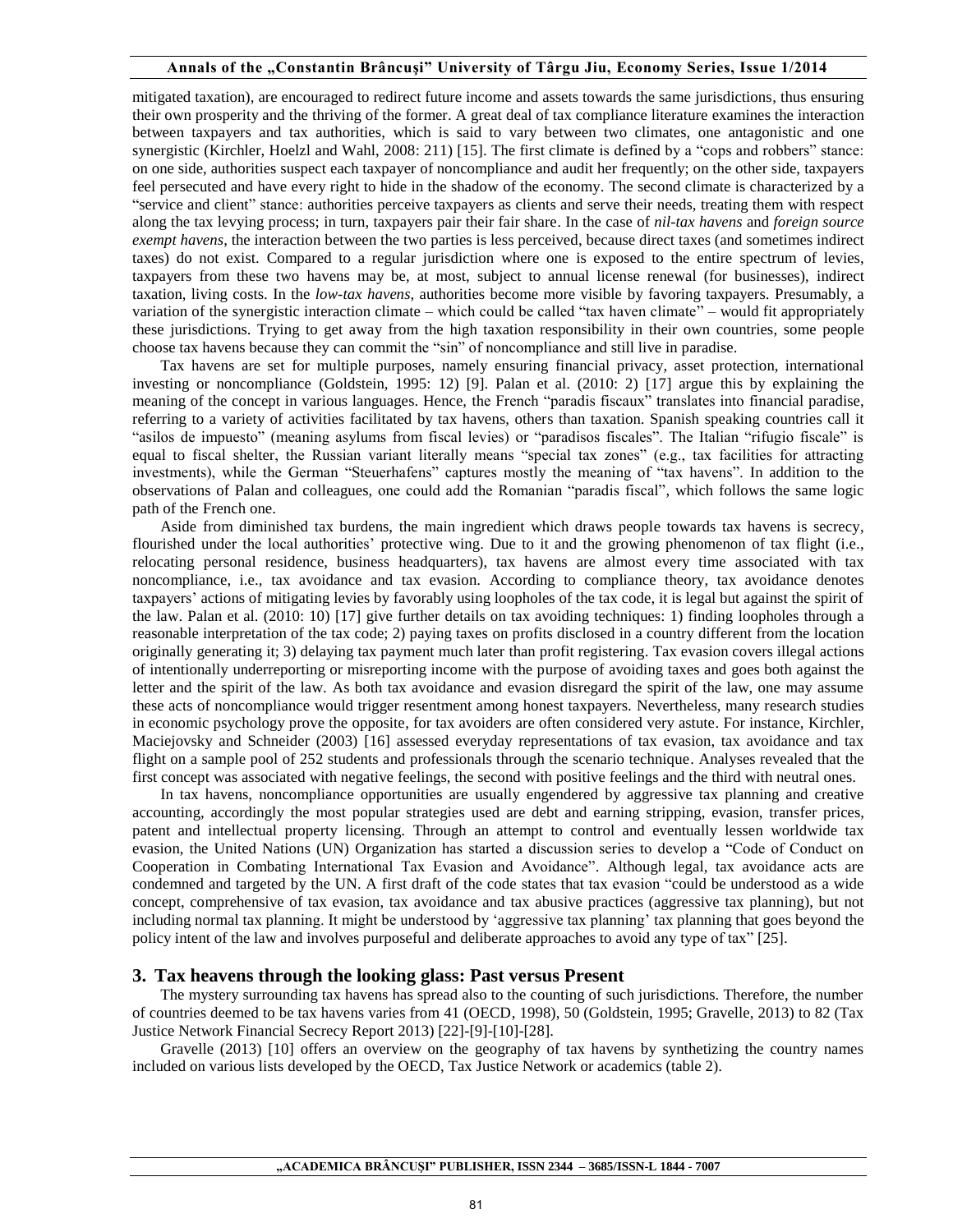mitigated taxation), are encouraged to redirect future income and assets towards the same jurisdictions, thus ensuring their own prosperity and the thriving of the former. A great deal of tax compliance literature examines the interaction between taxpayers and tax authorities, which is said to vary between two climates, one antagonistic and one synergistic (Kirchler, Hoelzl and Wahl, 2008: 211) [15]. The first climate is defined by a "cops and robbers" stance: on one side, authorities suspect each taxpayer of noncompliance and audit her frequently; on the other side, taxpayers feel persecuted and have every right to hide in the shadow of the economy. The second climate is characterized by a "service and client" stance: authorities perceive taxpayers as clients and serve their needs, treating them with respect along the tax levying process; in turn, taxpayers pair their fair share. In the case of *nil-tax havens* and *foreign source exempt havens*, the interaction between the two parties is less perceived, because direct taxes (and sometimes indirect taxes) do not exist. Compared to a regular jurisdiction where one is exposed to the entire spectrum of levies, taxpayers from these two havens may be, at most, subject to annual license renewal (for businesses), indirect taxation, living costs. In the *low-tax havens*, authorities become more visible by favoring taxpayers. Presumably, a variation of the synergistic interaction climate – which could be called "tax haven climate" – would fit appropriately these jurisdictions. Trying to get away from the high taxation responsibility in their own countries, some people choose tax havens because they can commit the "sin" of noncompliance and still live in paradise.

Tax havens are set for multiple purposes, namely ensuring financial privacy, asset protection, international investing or noncompliance (Goldstein, 1995: 12) [9]. Palan et al. (2010: 2) [17] argue this by explaining the meaning of the concept in various languages. Hence, the French "paradis fiscaux" translates into financial paradise, referring to a variety of activities facilitated by tax havens, others than taxation. Spanish speaking countries call it "asilos de impuesto" (meaning asylums from fiscal levies) or "paradisos fiscales". The Italian "rifugio fiscale" is equal to fiscal shelter, the Russian variant literally means "special tax zones" (e.g., tax facilities for attracting investments), while the German "Steuerhafens" captures mostly the meaning of "tax havens". In addition to the observations of Palan and colleagues, one could add the Romanian "paradis fiscal", which follows the same logic path of the French one.

Aside from diminished tax burdens, the main ingredient which draws people towards tax havens is secrecy, flourished under the local authorities' protective wing. Due to it and the growing phenomenon of tax flight (i.e., relocating personal residence, business headquarters), tax havens are almost every time associated with tax noncompliance, i.e., tax avoidance and tax evasion. According to compliance theory, tax avoidance denotes taxpayers' actions of mitigating levies by favorably using loopholes of the tax code, it is legal but against the spirit of the law. Palan et al. (2010: 10) [17] give further details on tax avoiding techniques: 1) finding loopholes through a reasonable interpretation of the tax code; 2) paying taxes on profits disclosed in a country different from the location originally generating it; 3) delaying tax payment much later than profit registering. Tax evasion covers illegal actions of intentionally underreporting or misreporting income with the purpose of avoiding taxes and goes both against the letter and the spirit of the law. As both tax avoidance and evasion disregard the spirit of the law, one may assume these acts of noncompliance would trigger resentment among honest taxpayers. Nevertheless, many research studies in economic psychology prove the opposite, for tax avoiders are often considered very astute. For instance, Kirchler, Maciejovsky and Schneider (2003) [16] assessed everyday representations of tax evasion, tax avoidance and tax flight on a sample pool of 252 students and professionals through the scenario technique. Analyses revealed that the first concept was associated with negative feelings, the second with positive feelings and the third with neutral ones.

In tax havens, noncompliance opportunities are usually engendered by aggressive tax planning and creative accounting, accordingly the most popular strategies used are debt and earning stripping, evasion, transfer prices, patent and intellectual property licensing. Through an attempt to control and eventually lessen worldwide tax evasion, the United Nations (UN) Organization has started a discussion series to develop a "Code of Conduct on Cooperation in Combating International Tax Evasion and Avoidance". Although legal, tax avoidance acts are condemned and targeted by the UN. A first draft of the code states that tax evasion "could be understood as a wide concept, comprehensive of tax evasion, tax avoidance and tax abusive practices (aggressive tax planning), but not including normal tax planning. It might be understood by 'aggressive tax planning' tax planning that goes beyond the policy intent of the law and involves purposeful and deliberate approaches to avoid any type of tax" [25].

### **3. Tax heavens through the looking glass: Past versus Present**

The mystery surrounding tax havens has spread also to the counting of such jurisdictions. Therefore, the number of countries deemed to be tax havens varies from 41 (OECD, 1998), 50 (Goldstein, 1995; Gravelle, 2013) to 82 (Tax Justice Network Financial Secrecy Report 2013) [22]-[9]-[10]-[28].

Gravelle (2013) [10] offers an overview on the geography of tax havens by synthetizing the country names included on various lists developed by the OECD, Tax Justice Network or academics (table 2).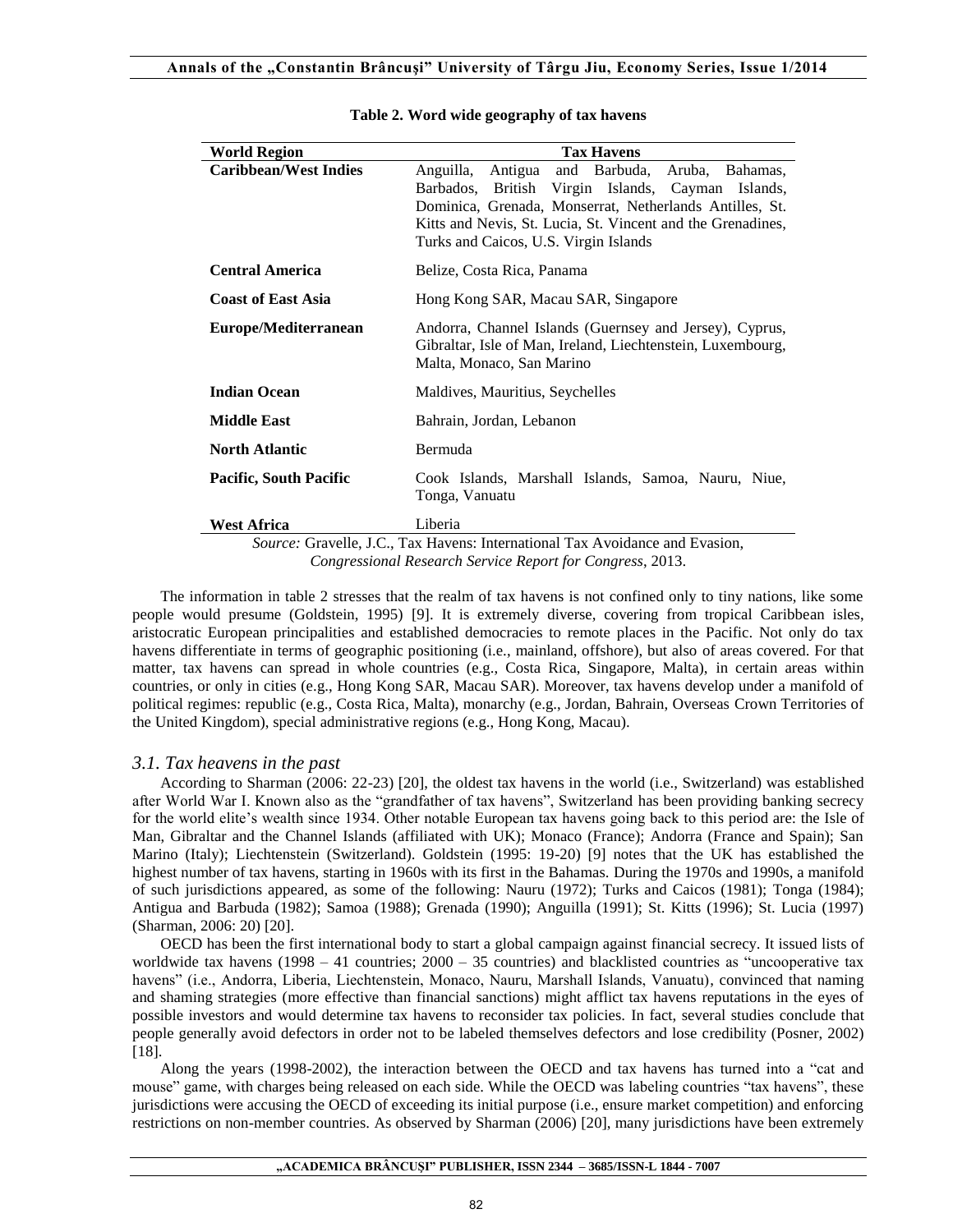| <b>World Region</b>                                                                 | <b>Tax Havens</b>                                                                                                                                                                                                                                                                  |
|-------------------------------------------------------------------------------------|------------------------------------------------------------------------------------------------------------------------------------------------------------------------------------------------------------------------------------------------------------------------------------|
| <b>Caribbean/West Indies</b>                                                        | and Barbuda,<br>Anguilla,<br>Antigua<br>Aruba, Bahamas,<br>British Virgin Islands, Cayman Islands,<br>Barbados,<br>Dominica, Grenada, Monserrat, Netherlands Antilles, St.<br>Kitts and Nevis, St. Lucia, St. Vincent and the Grenadines,<br>Turks and Caicos, U.S. Virgin Islands |
| <b>Central America</b>                                                              | Belize, Costa Rica, Panama                                                                                                                                                                                                                                                         |
| <b>Coast of East Asia</b>                                                           | Hong Kong SAR, Macau SAR, Singapore                                                                                                                                                                                                                                                |
| Europe/Mediterranean                                                                | Andorra, Channel Islands (Guernsey and Jersey), Cyprus,<br>Gibraltar, Isle of Man, Ireland, Liechtenstein, Luxembourg,<br>Malta, Monaco, San Marino                                                                                                                                |
| <b>Indian Ocean</b>                                                                 | Maldives, Mauritius, Seychelles                                                                                                                                                                                                                                                    |
| <b>Middle East</b>                                                                  | Bahrain, Jordan, Lebanon                                                                                                                                                                                                                                                           |
| <b>North Atlantic</b>                                                               | Bermuda                                                                                                                                                                                                                                                                            |
| <b>Pacific, South Pacific</b>                                                       | Cook Islands, Marshall Islands, Samoa, Nauru, Niue,<br>Tonga, Vanuatu                                                                                                                                                                                                              |
| <b>West Africa</b>                                                                  | Liberia                                                                                                                                                                                                                                                                            |
| <i>Source:</i> Gravelle, J.C., Tax Havens: International Tax Avoidance and Evasion, |                                                                                                                                                                                                                                                                                    |

#### **Table 2. Word wide geography of tax havens**

*Source:* Gravelle, J.C., Tax Havens: International Tax Avoidance and Evasion, *Congressional Research Service Report for Congress*, 2013.

The information in table 2 stresses that the realm of tax havens is not confined only to tiny nations, like some people would presume (Goldstein, 1995) [9]. It is extremely diverse, covering from tropical Caribbean isles, aristocratic European principalities and established democracies to remote places in the Pacific. Not only do tax havens differentiate in terms of geographic positioning (i.e., mainland, offshore), but also of areas covered. For that matter, tax havens can spread in whole countries (e.g., Costa Rica, Singapore, Malta), in certain areas within countries, or only in cities (e.g., Hong Kong SAR, Macau SAR). Moreover, tax havens develop under a manifold of political regimes: republic (e.g., Costa Rica, Malta), monarchy (e.g., Jordan, Bahrain, Overseas Crown Territories of the United Kingdom), special administrative regions (e.g., Hong Kong, Macau).

## *3.1. Tax heavens in the past*

According to Sharman (2006: 22-23) [20], the oldest tax havens in the world (i.e., Switzerland) was established after World War I. Known also as the "grandfather of tax havens", Switzerland has been providing banking secrecy for the world elite's wealth since 1934. Other notable European tax havens going back to this period are: the Isle of Man, Gibraltar and the Channel Islands (affiliated with UK); Monaco (France); Andorra (France and Spain); San Marino (Italy); Liechtenstein (Switzerland). Goldstein (1995: 19-20) [9] notes that the UK has established the highest number of tax havens, starting in 1960s with its first in the Bahamas. During the 1970s and 1990s, a manifold of such jurisdictions appeared, as some of the following: Nauru (1972); Turks and Caicos (1981); Tonga (1984); Antigua and Barbuda (1982); Samoa (1988); Grenada (1990); Anguilla (1991); St. Kitts (1996); St. Lucia (1997) (Sharman, 2006: 20) [20].

OECD has been the first international body to start a global campaign against financial secrecy. It issued lists of worldwide tax havens (1998 – 41 countries;  $2000 - 35$  countries) and blacklisted countries as "uncooperative tax havens" (i.e., Andorra, Liberia, Liechtenstein, Monaco, Nauru, Marshall Islands, Vanuatu), convinced that naming and shaming strategies (more effective than financial sanctions) might afflict tax havens reputations in the eyes of possible investors and would determine tax havens to reconsider tax policies. In fact, several studies conclude that people generally avoid defectors in order not to be labeled themselves defectors and lose credibility (Posner, 2002) [18].

Along the years (1998-2002), the interaction between the OECD and tax havens has turned into a "cat and mouse" game, with charges being released on each side. While the OECD was labeling countries "tax havens", these jurisdictions were accusing the OECD of exceeding its initial purpose (i.e., ensure market competition) and enforcing restrictions on non-member countries. As observed by Sharman (2006) [20], many jurisdictions have been extremely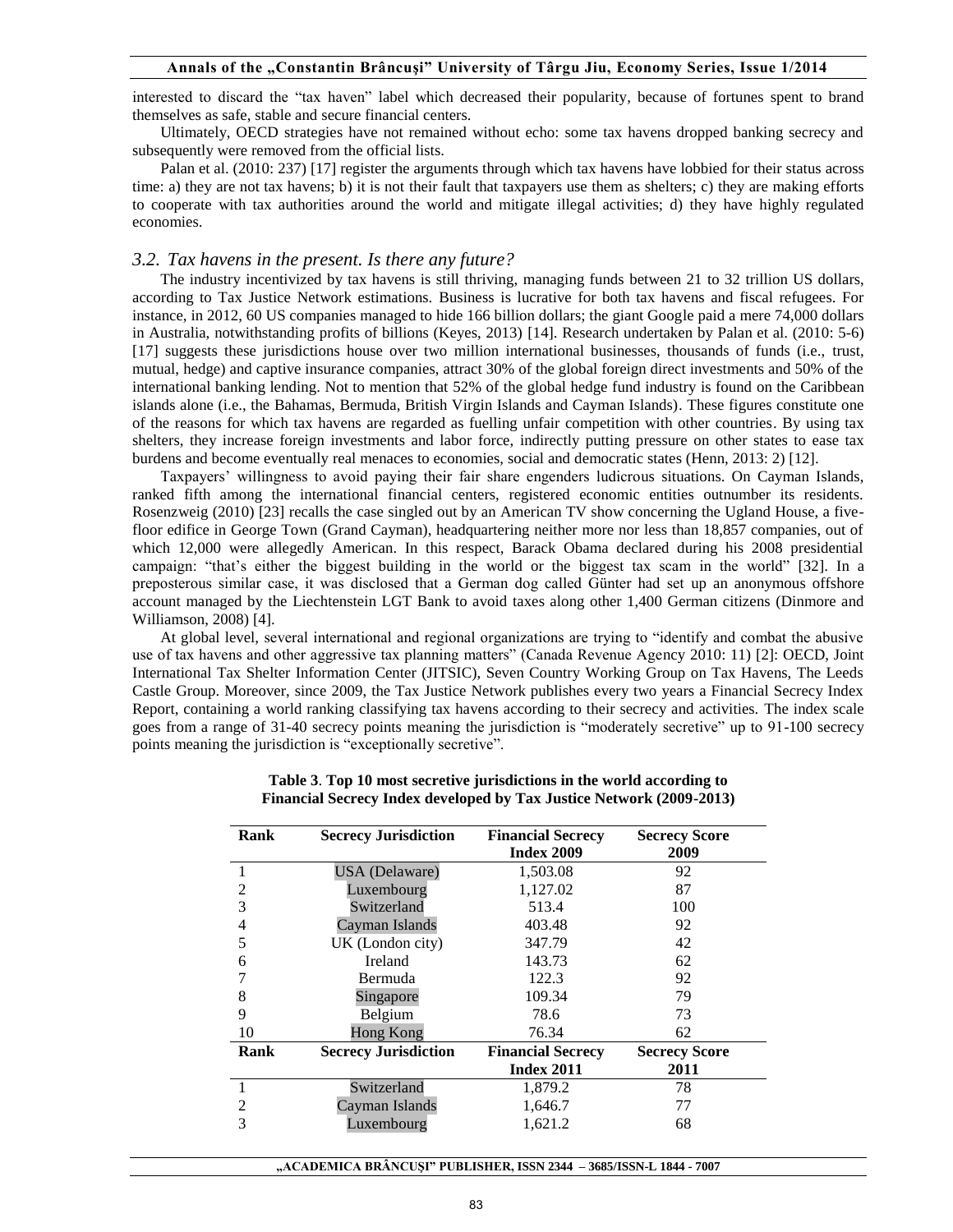interested to discard the "tax haven" label which decreased their popularity, because of fortunes spent to brand themselves as safe, stable and secure financial centers.

Ultimately, OECD strategies have not remained without echo: some tax havens dropped banking secrecy and subsequently were removed from the official lists.

Palan et al. (2010: 237) [17] register the arguments through which tax havens have lobbied for their status across time: a) they are not tax havens; b) it is not their fault that taxpayers use them as shelters; c) they are making efforts to cooperate with tax authorities around the world and mitigate illegal activities; d) they have highly regulated economies.

### *3.2. Tax havens in the present. Is there any future?*

The industry incentivized by tax havens is still thriving, managing funds between 21 to 32 trillion US dollars, according to Tax Justice Network estimations. Business is lucrative for both tax havens and fiscal refugees. For instance, in 2012, 60 US companies managed to hide 166 billion dollars; the giant Google paid a mere 74,000 dollars in Australia, notwithstanding profits of billions (Keyes, 2013) [14]. Research undertaken by Palan et al. (2010: 5-6) [17] suggests these jurisdictions house over two million international businesses, thousands of funds (i.e., trust, mutual, hedge) and captive insurance companies, attract 30% of the global foreign direct investments and 50% of the international banking lending. Not to mention that 52% of the global hedge fund industry is found on the Caribbean islands alone (i.e., the Bahamas, Bermuda, British Virgin Islands and Cayman Islands). These figures constitute one of the reasons for which tax havens are regarded as fuelling unfair competition with other countries. By using tax shelters, they increase foreign investments and labor force, indirectly putting pressure on other states to ease tax burdens and become eventually real menaces to economies, social and democratic states (Henn, 2013: 2) [12].

Taxpayers' willingness to avoid paying their fair share engenders ludicrous situations. On Cayman Islands, ranked fifth among the international financial centers, registered economic entities outnumber its residents. Rosenzweig (2010) [23] recalls the case singled out by an American TV show concerning the Ugland House, a fivefloor edifice in George Town (Grand Cayman), headquartering neither more nor less than 18,857 companies, out of which 12,000 were allegedly American. In this respect, Barack Obama declared during his 2008 presidential campaign: "that's either the biggest building in the world or the biggest tax scam in the world" [32]. In a preposterous similar case, it was disclosed that a German dog called Günter had set up an anonymous offshore account managed by the Liechtenstein LGT Bank to avoid taxes along other 1,400 German citizens (Dinmore and Williamson, 2008) [4].

At global level, several international and regional organizations are trying to "identify and combat the abusive use of tax havens and other aggressive tax planning matters" (Canada Revenue Agency 2010: 11) [2]: OECD, Joint International Tax Shelter Information Center (JITSIC), Seven Country Working Group on Tax Havens, The Leeds Castle Group. Moreover, since 2009, the Tax Justice Network publishes every two years a Financial Secrecy Index Report, containing a world ranking classifying tax havens according to their secrecy and activities. The index scale goes from a range of 31-40 secrecy points meaning the jurisdiction is "moderately secretive" up to 91-100 secrecy points meaning the jurisdiction is "exceptionally secretive".

| Rank           | <b>Secrecy Jurisdiction</b> | <b>Financial Secrecy</b><br><b>Index 2009</b> | <b>Secrecy Score</b><br>2009 |
|----------------|-----------------------------|-----------------------------------------------|------------------------------|
|                | <b>USA</b> (Delaware)       | 1,503.08                                      | 92                           |
| 2              | Luxembourg                  | 1,127.02                                      | 87                           |
| 3              | Switzerland                 | 513.4                                         | 100                          |
| 4              | Cayman Islands              | 403.48                                        | 92                           |
| 5              | UK (London city)            | 347.79                                        | 42                           |
| 6              | <b>Ireland</b>              | 143.73                                        | 62                           |
|                | Bermuda                     | 122.3                                         | 92                           |
| 8              | Singapore                   | 109.34                                        | 79                           |
| 9              | Belgium                     | 78.6                                          | 73                           |
| 10             | <b>Hong Kong</b>            | 76.34                                         | 62                           |
| Rank           | <b>Secrecy Jurisdiction</b> | <b>Financial Secrecy</b>                      | <b>Secrecy Score</b>         |
|                |                             | <b>Index 2011</b>                             | 2011                         |
|                | Switzerland                 | 1,879.2                                       | 78                           |
| $\overline{2}$ | Cayman Islands              | 1,646.7                                       | 77                           |
| 3              | Luxembourg                  | 1,621.2                                       | 68                           |

#### **Table 3**. **Top 10 most secretive jurisdictions in the world according to Financial Secrecy Index developed by Tax Justice Network (2009-2013)**

**"ACADEMICA BRÂNCUŞI" PUBLISHER, ISSN 2344 – 3685/ISSN-L 1844 - 7007**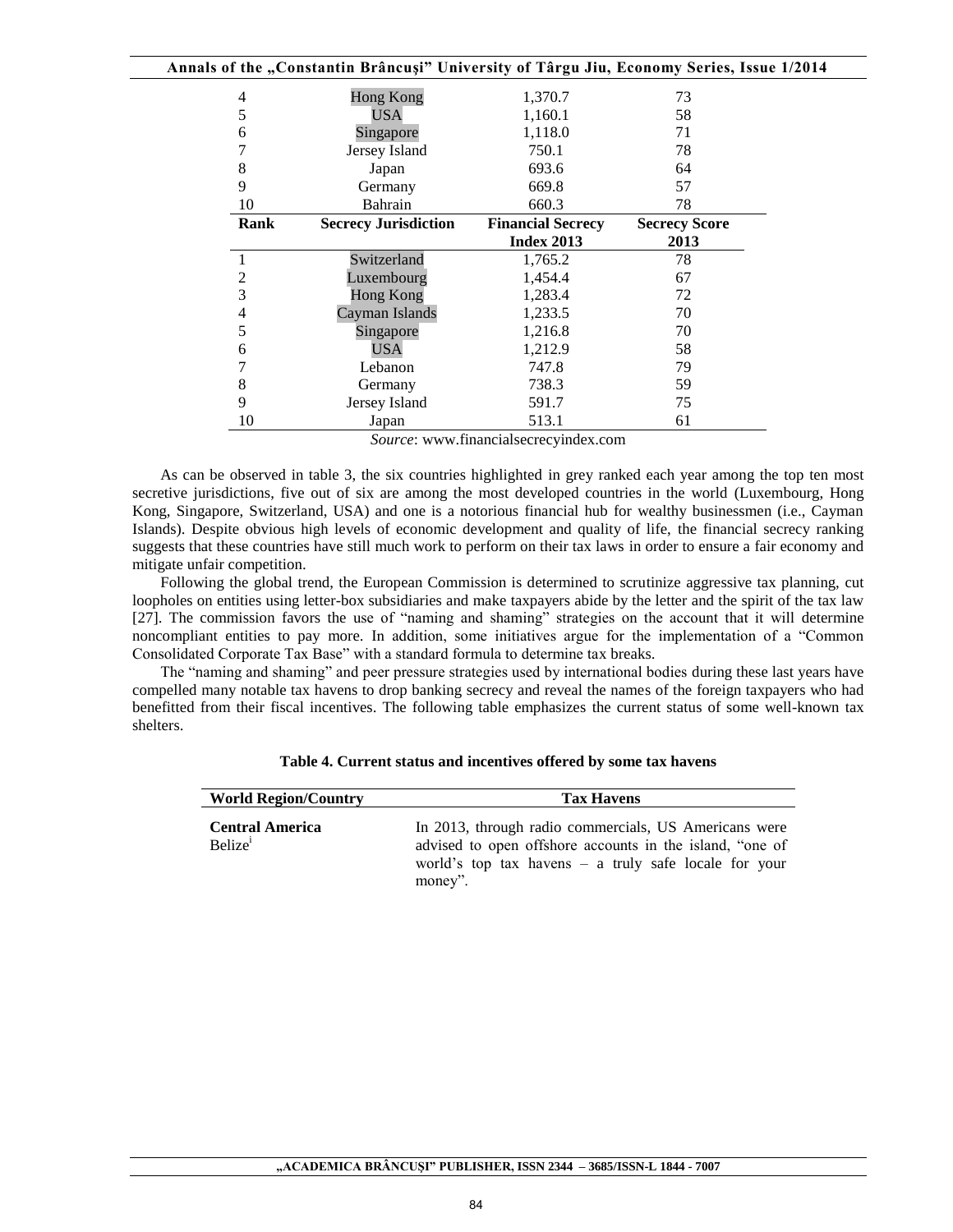|      | Annals of the "Constantin Brâncuși" University of Târgu Jiu, Economy Series, Issue 1/2014 |                          |                      |  |
|------|-------------------------------------------------------------------------------------------|--------------------------|----------------------|--|
| 4    | <b>Hong Kong</b>                                                                          | 1,370.7                  | 73                   |  |
| 5    | USA                                                                                       | 1,160.1                  | 58                   |  |
| 6    | Singapore                                                                                 | 1,118.0                  | 71                   |  |
| 7    | Jersey Island                                                                             | 750.1                    | 78                   |  |
| 8    | Japan                                                                                     | 693.6                    | 64                   |  |
| 9    | Germany                                                                                   | 669.8                    | 57                   |  |
| 10   | Bahrain                                                                                   | 660.3                    | 78                   |  |
| Rank | <b>Secrecy Jurisdiction</b>                                                               | <b>Financial Secrecy</b> | <b>Secrecy Score</b> |  |
|      |                                                                                           | <b>Index 2013</b>        | 2013                 |  |
| 1    | Switzerland                                                                               | 1,765.2                  | 78                   |  |
| 2    | Luxembourg                                                                                | 1,454.4                  | 67                   |  |
| 3    | <b>Hong Kong</b>                                                                          | 1,283.4                  | 72                   |  |
| 4    | Cayman Islands                                                                            | 1,233.5                  | 70                   |  |
| 5    | Singapore                                                                                 | 1,216.8                  | 70                   |  |
| 6    | USA                                                                                       | 1,212.9                  | 58                   |  |
| 7    | Lebanon                                                                                   | 747.8                    | 79                   |  |
| 8    | Germany                                                                                   | 738.3                    | 59                   |  |
| 9    | Jersey Island                                                                             | 591.7                    | 75                   |  |
| 10   | Japan                                                                                     | 513.1                    | 61                   |  |

*Source*: www.financialsecrecyindex.com

As can be observed in table 3, the six countries highlighted in grey ranked each year among the top ten most secretive jurisdictions, five out of six are among the most developed countries in the world (Luxembourg, Hong Kong, Singapore, Switzerland, USA) and one is a notorious financial hub for wealthy businessmen (i.e., Cayman Islands). Despite obvious high levels of economic development and quality of life, the financial secrecy ranking suggests that these countries have still much work to perform on their tax laws in order to ensure a fair economy and mitigate unfair competition.

Following the global trend, the European Commission is determined to scrutinize aggressive tax planning, cut loopholes on entities using letter-box subsidiaries and make taxpayers abide by the letter and the spirit of the tax law [27]. The commission favors the use of "naming and shaming" strategies on the account that it will determine noncompliant entities to pay more. In addition, some initiatives argue for the implementation of a "Common Consolidated Corporate Tax Base" with a standard formula to determine tax breaks.

The "naming and shaming" and peer pressure strategies used by international bodies during these last years have compelled many notable tax havens to drop banking secrecy and reveal the names of the foreign taxpayers who had benefitted from their fiscal incentives. The following table emphasizes the current status of some well-known tax shelters.

| <b>World Region/Country</b>                   | <b>Tax Havens</b>                                                                                                                                                                       |
|-----------------------------------------------|-----------------------------------------------------------------------------------------------------------------------------------------------------------------------------------------|
| <b>Central America</b><br>Belize <sup>1</sup> | In 2013, through radio commercials, US Americans were<br>advised to open offshore accounts in the island, "one of<br>world's top tax havens $-$ a truly safe locale for your<br>money". |

**Table 4. Current status and incentives offered by some tax havens**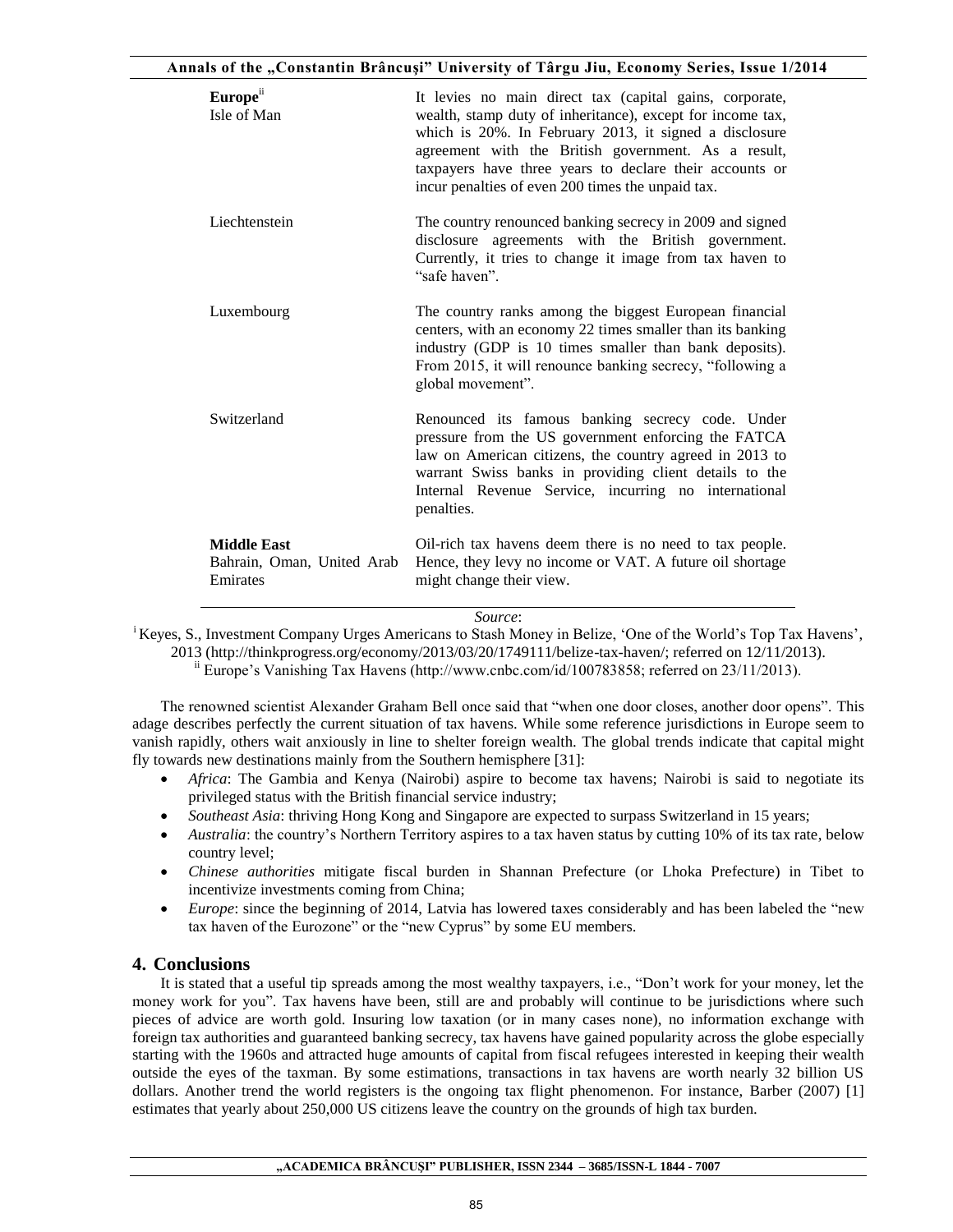| Europe <sup>ii</sup><br>Isle of Man                          | It levies no main direct tax (capital gains, corporate,<br>wealth, stamp duty of inheritance), except for income tax,<br>which is 20%. In February 2013, it signed a disclosure<br>agreement with the British government. As a result,<br>taxpayers have three years to declare their accounts or<br>incur penalties of even 200 times the unpaid tax. |
|--------------------------------------------------------------|--------------------------------------------------------------------------------------------------------------------------------------------------------------------------------------------------------------------------------------------------------------------------------------------------------------------------------------------------------|
| Liechtenstein                                                | The country renounced banking secrecy in 2009 and signed<br>disclosure agreements with the British government.<br>Currently, it tries to change it image from tax haven to<br>"safe haven".                                                                                                                                                            |
| Luxembourg                                                   | The country ranks among the biggest European financial<br>centers, with an economy 22 times smaller than its banking<br>industry (GDP is 10 times smaller than bank deposits).<br>From 2015, it will renounce banking secrecy, "following a<br>global movement".                                                                                       |
| Switzerland                                                  | Renounced its famous banking secrecy code. Under<br>pressure from the US government enforcing the FATCA<br>law on American citizens, the country agreed in 2013 to<br>warrant Swiss banks in providing client details to the<br>Internal Revenue Service, incurring no international<br>penalties.                                                     |
| <b>Middle East</b><br>Bahrain, Oman, United Arab<br>Emirates | Oil-rich tax havens deem there is no need to tax people.<br>Hence, they levy no income or VAT. A future oil shortage<br>might change their view.                                                                                                                                                                                                       |

#### *Source*:

<sup>i</sup>Keyes, S., Investment Company Urges Americans to Stash Money in Belize, 'One of the World's Top Tax Havens', 2013 [\(http://thinkprogress.org/economy/2013/03/20/1749111/belize-tax-haven/;](http://thinkprogress.org/economy/2013/03/20/1749111/belize-tax-haven/) referred on 12/11/2013).

 $\ddot{h}$  Europe's Vanishing Tax Havens (http://www.cnbc.com/id/100783858; referred on 23/11/2013).

The renowned scientist Alexander Graham Bell once said that "when one door closes, another door opens". This adage describes perfectly the current situation of tax havens. While some reference jurisdictions in Europe seem to vanish rapidly, others wait anxiously in line to shelter foreign wealth. The global trends indicate that capital might fly towards new destinations mainly from the Southern hemisphere [31]:

- *Africa*: The Gambia and Kenya (Nairobi) aspire to become tax havens; Nairobi is said to negotiate its privileged status with the British financial service industry;
- *Southeast Asia*: thriving Hong Kong and Singapore are expected to surpass Switzerland in 15 years;
- *Australia*: the country's Northern Territory aspires to a tax haven status by cutting 10% of its tax rate, below country level;
- *Chinese authorities* mitigate fiscal burden in Shannan Prefecture (or Lhoka Prefecture) in Tibet to incentivize investments coming from China;
- *Europe*: since the beginning of 2014, Latvia has lowered taxes considerably and has been labeled the "new tax haven of the Eurozone" or the "new Cyprus" by some EU members.

# **4. Conclusions**

It is stated that a useful tip spreads among the most wealthy taxpayers, i.e., "Don't work for your money, let the money work for you". Tax havens have been, still are and probably will continue to be jurisdictions where such pieces of advice are worth gold. Insuring low taxation (or in many cases none), no information exchange with foreign tax authorities and guaranteed banking secrecy, tax havens have gained popularity across the globe especially starting with the 1960s and attracted huge amounts of capital from fiscal refugees interested in keeping their wealth outside the eyes of the taxman. By some estimations, transactions in tax havens are worth nearly 32 billion US dollars. Another trend the world registers is the ongoing tax flight phenomenon. For instance, Barber (2007) [1] estimates that yearly about 250,000 US citizens leave the country on the grounds of high tax burden.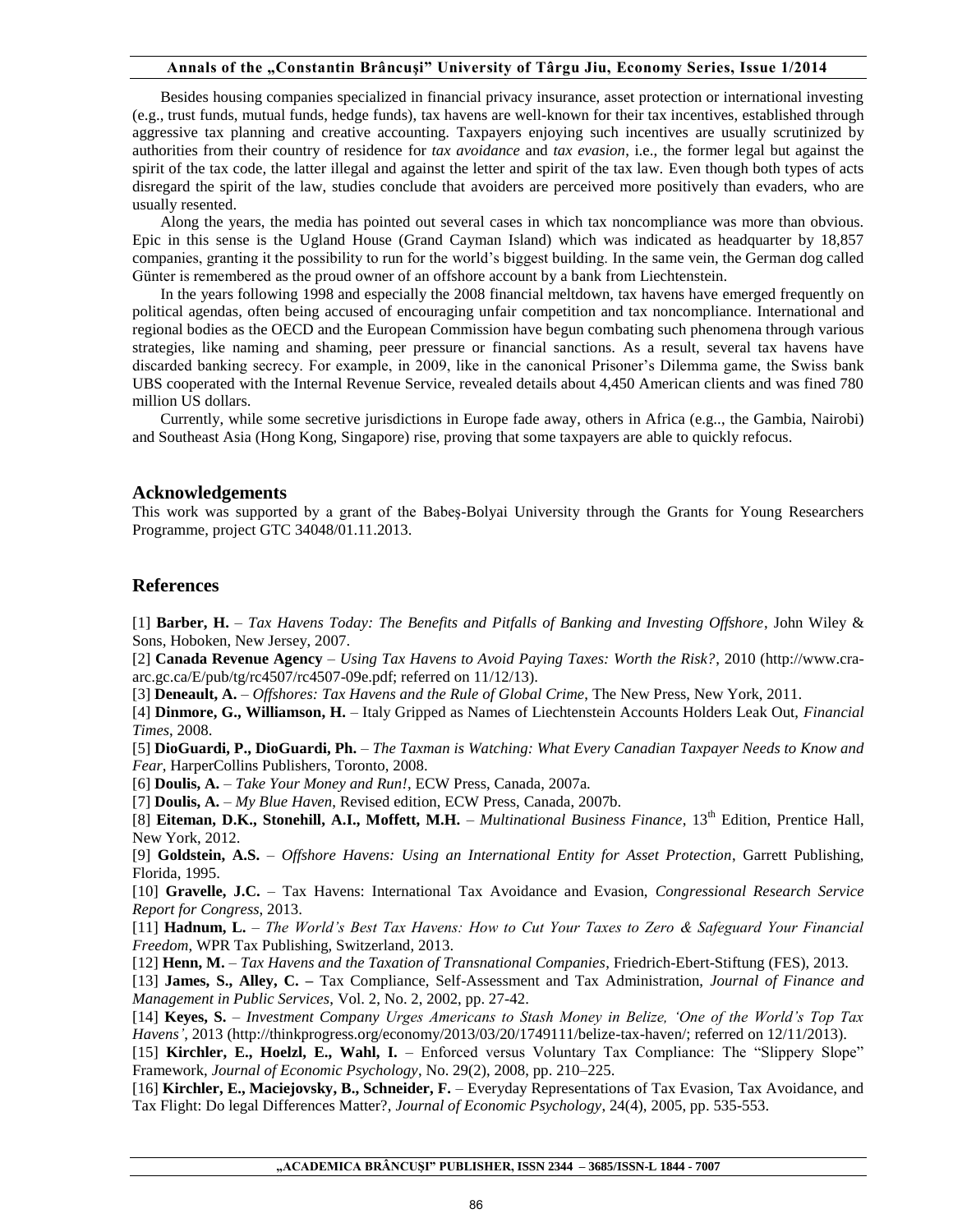Besides housing companies specialized in financial privacy insurance, asset protection or international investing (e.g., trust funds, mutual funds, hedge funds), tax havens are well-known for their tax incentives, established through aggressive tax planning and creative accounting. Taxpayers enjoying such incentives are usually scrutinized by authorities from their country of residence for *tax avoidance* and *tax evasion*, i.e., the former legal but against the spirit of the tax code, the latter illegal and against the letter and spirit of the tax law. Even though both types of acts disregard the spirit of the law, studies conclude that avoiders are perceived more positively than evaders, who are usually resented.

Along the years, the media has pointed out several cases in which tax noncompliance was more than obvious. Epic in this sense is the Ugland House (Grand Cayman Island) which was indicated as headquarter by 18,857 companies, granting it the possibility to run for the world's biggest building. In the same vein, the German dog called Günter is remembered as the proud owner of an offshore account by a bank from Liechtenstein.

In the years following 1998 and especially the 2008 financial meltdown, tax havens have emerged frequently on political agendas, often being accused of encouraging unfair competition and tax noncompliance. International and regional bodies as the OECD and the European Commission have begun combating such phenomena through various strategies, like naming and shaming, peer pressure or financial sanctions. As a result, several tax havens have discarded banking secrecy. For example, in 2009, like in the canonical Prisoner's Dilemma game, the Swiss bank UBS cooperated with the Internal Revenue Service, revealed details about 4,450 American clients and was fined 780 million US dollars.

Currently, while some secretive jurisdictions in Europe fade away, others in Africa (e.g.., the Gambia, Nairobi) and Southeast Asia (Hong Kong, Singapore) rise, proving that some taxpayers are able to quickly refocus.

#### **Acknowledgements**

This work was supported by a grant of the Babeş-Bolyai University through the Grants for Young Researchers Programme, project GTC 34048/01.11.2013.

#### **References**

[1] **Barber, H.** – *Tax Havens Today: The Benefits and Pitfalls of Banking and Investing Offshore*, John Wiley & Sons, Hoboken, New Jersey, 2007.

[2] **Canada Revenue Agency** – *Using Tax Havens to Avoid Paying Taxes: Worth the Risk?*, 2010 (http://www.craarc.gc.ca/E/pub/tg/rc4507/rc4507-09e.pdf; referred on 11/12/13).

[3] **Deneault, A.** – *Offshores: Tax Havens and the Rule of Global Crime*, The New Press, New York, 2011.

[4] **Dinmore, G., Williamson, H.** – Italy Gripped as Names of Liechtenstein Accounts Holders Leak Out, *Financial Times*, 2008.

[5] **DioGuardi, P., DioGuardi, Ph.** – *The Taxman is Watching: What Every Canadian Taxpayer Needs to Know and Fear*, HarperCollins Publishers, Toronto, 2008.

[6] **Doulis, A.** – *Take Your Money and Run!*, ECW Press, Canada, 2007a.

[7] **Doulis, A.** – *My Blue Haven*, Revised edition, ECW Press, Canada, 2007b.

[8] **Eiteman, D.K., Stonehill, A.I., Moffett, M.H.** – *Multinational Business Finance*, 13th Edition, Prentice Hall, New York, 2012.

[9] **Goldstein, A.S.** – *Offshore Havens: Using an International Entity for Asset Protection*, Garrett Publishing, Florida, 1995.

[10] **Gravelle, J.C.** – Tax Havens: International Tax Avoidance and Evasion, *Congressional Research Service Report for Congress*, 2013.

[11] **Hadnum, L.** – *The World's Best Tax Havens: How to Cut Your Taxes to Zero & Safeguard Your Financial Freedom*, WPR Tax Publishing, Switzerland, 2013.

[12] **Henn, M.** – *Tax Havens and the Taxation of Transnational Companies*, Friedrich-Ebert-Stiftung (FES), 2013.

[13] **James, S., Alley, C. –** Tax Compliance, Self-Assessment and Tax Administration, *Journal of Finance and Management in Public Services*, Vol. 2, No. 2, 2002, pp. 27-42.

[14] **Keyes, S.** – *Investment Company Urges Americans to Stash Money in Belize, 'One of the World's Top Tax Havens'*, 2013 [\(http://thinkprogress.org/economy/2013/03/20/1749111/belize-tax-haven/;](http://thinkprogress.org/economy/2013/03/20/1749111/belize-tax-haven/) referred on 12/11/2013).

[15] **Kirchler, E., Hoelzl, E., Wahl, I.** – Enforced versus Voluntary Tax Compliance: The "Slippery Slope" Framework, *Journal of Economic Psychology*, No. 29(2), 2008, pp. 210–225.

[16] **Kirchler, E., Maciejovsky, B., Schneider, F.** – Everyday Representations of Tax Evasion, Tax Avoidance, and Tax Flight: Do legal Differences Matter?, *Journal of Economic Psychology*, 24(4), 2005, pp. 535-553.